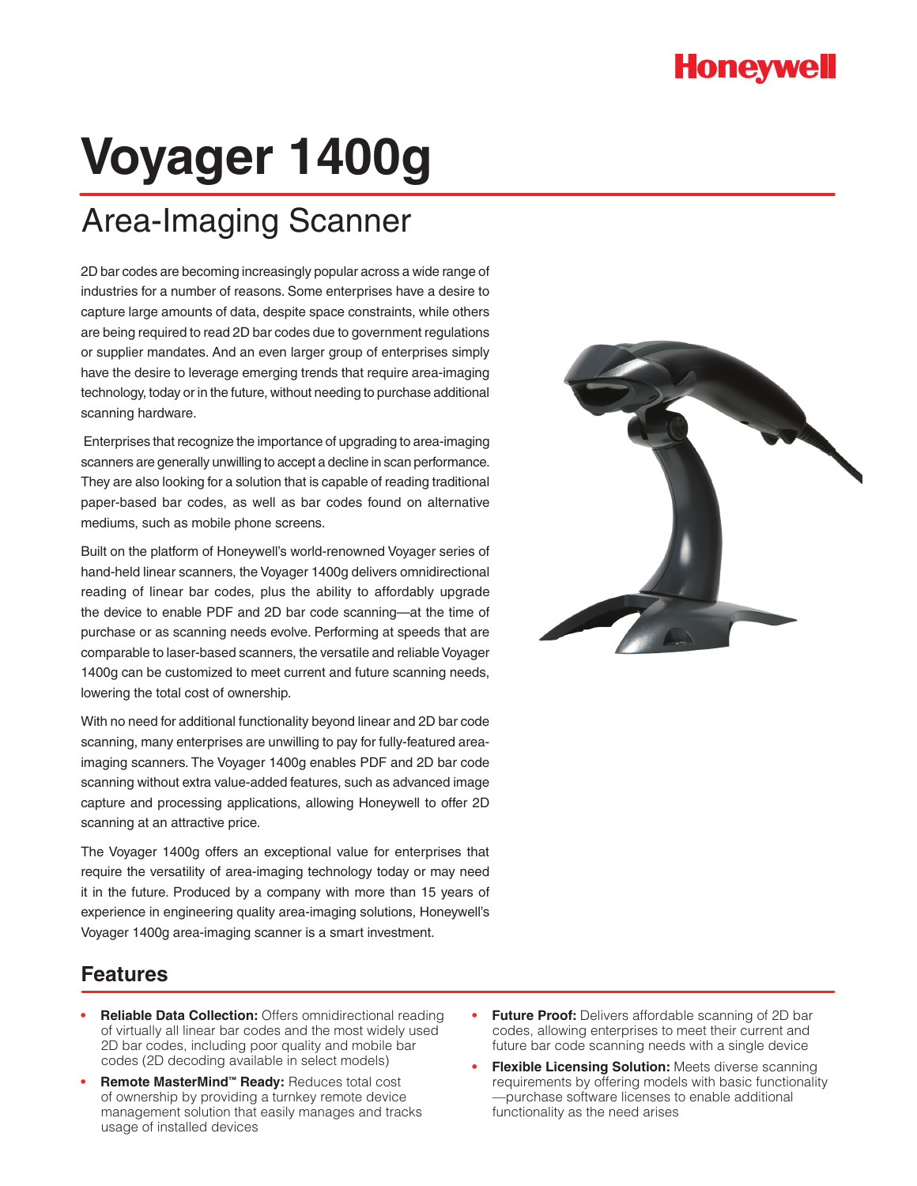## **Honeywell**

# **Voyager 1400g**

## Area-Imaging Scanner

2D bar codes are becoming increasingly popular across a wide range of industries for a number of reasons. Some enterprises have a desire to capture large amounts of data, despite space constraints, while others are being required to read 2D bar codes due to government regulations or supplier mandates. And an even larger group of enterprises simply have the desire to leverage emerging trends that require area-imaging technology, today or in the future, without needing to purchase additional scanning hardware.

 Enterprises that recognize the importance of upgrading to area-imaging scanners are generally unwilling to accept a decline in scan performance. They are also looking for a solution that is capable of reading traditional paper-based bar codes, as well as bar codes found on alternative mediums, such as mobile phone screens.

Built on the platform of Honeywell's world-renowned Voyager series of hand-held linear scanners, the Voyager 1400g delivers omnidirectional reading of linear bar codes, plus the ability to affordably upgrade the device to enable PDF and 2D bar code scanning—at the time of purchase or as scanning needs evolve. Performing at speeds that are comparable to laser-based scanners, the versatile and reliable Voyager 1400g can be customized to meet current and future scanning needs, lowering the total cost of ownership.

With no need for additional functionality beyond linear and 2D bar code scanning, many enterprises are unwilling to pay for fully-featured areaimaging scanners. The Voyager 1400g enables PDF and 2D bar code scanning without extra value-added features, such as advanced image capture and processing applications, allowing Honeywell to offer 2D scanning at an attractive price.

The Voyager 1400g offers an exceptional value for enterprises that require the versatility of area-imaging technology today or may need it in the future. Produced by a company with more than 15 years of experience in engineering quality area-imaging solutions, Honeywell's Voyager 1400g area-imaging scanner is a smart investment.



#### **Features**

- **Reliable Data Collection:** Offers omnidirectional reading of virtually all linear bar codes and the most widely used 2D bar codes, including poor quality and mobile bar codes (2D decoding available in select models)
- **Remote MasterMind™ Ready:** Reduces total cost of ownership by providing a turnkey remote device management solution that easily manages and tracks usage of installed devices
- **Future Proof:** Delivers affordable scanning of 2D bar codes, allowing enterprises to meet their current and future bar code scanning needs with a single device
- **Flexible Licensing Solution:** Meets diverse scanning requirements by offering models with basic functionality —purchase software licenses to enable additional functionality as the need arises